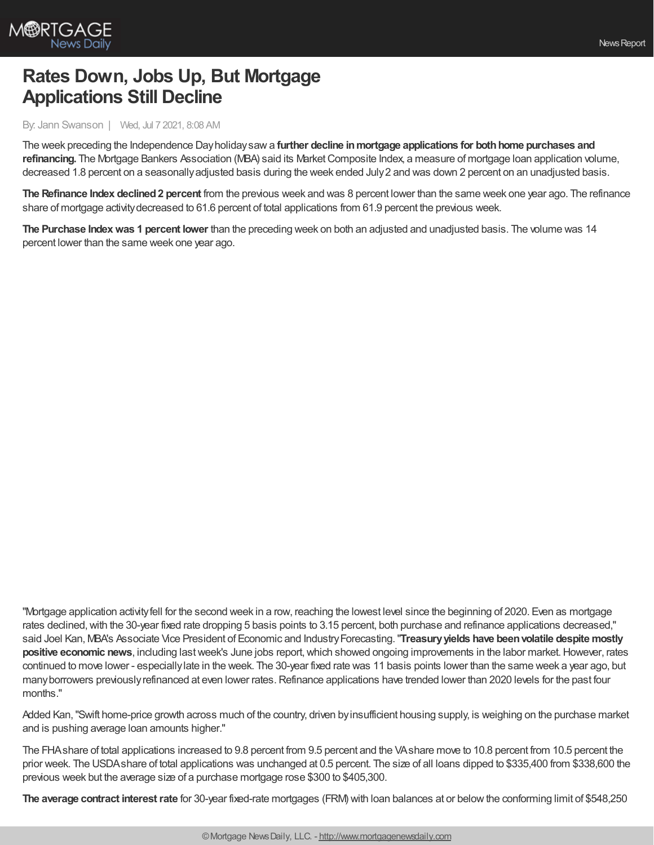

## **Rates Down, Jobs Up, But Mortgage Applications Still Decline**

By: Jann Swanson | Wed, Jul 7 2021, 8:08 AM

The week preceding the Independence Dayholidaysawa **further decline inmortgage applications for bothhome purchases and** refinancing. The Mortgage Bankers Association (MBA) said its Market Composite Index, a measure of mortgage Ioan application volume, decreased 1.8 percent on a seasonallyadjusted basis during the week ended July2 and was down 2 percent on an unadjusted basis.

**The Refinance Index declined2 percent** from the previous week and was 8 percent lower than the same week one year ago. The refinance share of mortgage activitydecreased to 61.6 percent of total applications from 61.9 percent the previous week.

**The Purchase Indexwas 1 percent lower** than the preceding week on both an adjusted and unadjusted basis. The volume was 14 percent lower than the same week one year ago.

"Mortgage application activityfell for the second week in a row, reaching the lowest level since the beginning of 2020. Even as mortgage rates declined, with the 30-year fixed rate dropping 5 basis points to 3.15 percent, both purchase and refinance applications decreased," said Joel Kan, MBA's Associate Vice President of Economic and IndustryForecasting."**Treasuryyields have beenvolatile despite mostly positive economic news**, including last week's June jobs report, which showed ongoing improvements in the labor market. However, rates continued to move lower - especiallylate in the week. The 30-year fixed rate was 11 basis points lower than the same week a year ago, but many borrowers previously refinanced at even lower rates. Refinance applications have trended lower than 2020 levels for the past four months."

Added Kan,"Swift home-price growth across much of the country, driven byinsufficient housing supply, is weighing on the purchase market and is pushing average loan amounts higher."

The FHAshare of total applications increased to 9.8 percent from 9.5 percent and the VAshare move to 10.8 percent from 10.5 percent the prior week. The USDAshare of total applications was unchanged at 0.5 percent. The size of all loans dipped to \$335,400 from \$338,600 the previous week but the average size of a purchase mortgage rose \$300 to \$405,300.

**The average contract interestrate** for 30-year fixed-rate mortgages (FRM) with loan balances at or belowthe conforming limit of \$548,250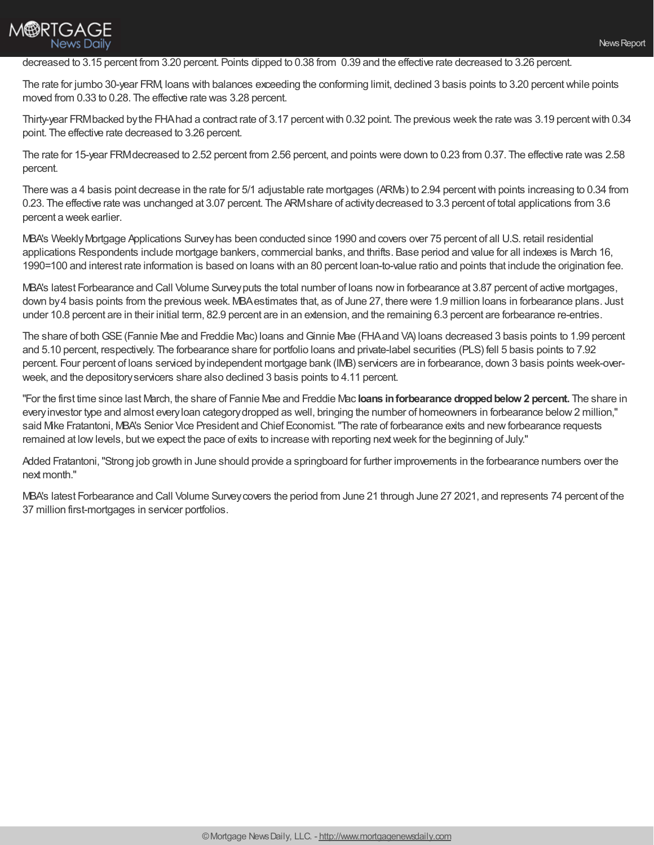

## decreased to 3.15 percent from 3.20 percent. Points dipped to 0.38 from 0.39 and the effective rate decreased to 3.26 percent.

The rate for jumbo 30-year FRM, loans with balances exceeding the conforming limit, declined 3 basis points to 3.20 percentwhile points moved from 0.33 to 0.28. The effective rate was 3.28 percent.

Thirty-year FRMbacked bythe FHAhad a contract rate of 3.17 percentwith 0.32 point. The previous week the rate was 3.19 percentwith 0.34 point. The effective rate decreased to 3.26 percent.

The rate for 15-year FRMdecreased to 2.52 percent from 2.56 percent, and points were down to 0.23 from 0.37. The effective rate was 2.58 percent.

There was a 4 basis point decrease in the rate for 5/1 adjustable rate mortgages (ARMs) to 2.94 percentwith points increasing to 0.34 from 0.23. The effective rate was unchanged at 3.07 percent. The ARMshare of activitydecreased to 3.3 percent of total applications from 3.6 percent a week earlier.

MBA's WeeklyMortgage Applications Surveyhas been conducted since 1990 and covers over 75 percent of all U.S. retail residential applications Respondents include mortgage bankers, commercial banks, and thrifts. Base period and value for all indexes is March 16, 1990=100 and interest rate information is based on loans with an 80 percent loan-to-value ratio and points that include the origination fee.

MBA's latest Forbearance and Call Volume Surveyputs the total number of loans nowin forbearance at 3.87 percent of active mortgages, down by4 basis points from the previous week. MBAestimates that, as of June 27, there were 1.9 million loans in forbearance plans. Just under 10.8 percent are in their initial term, 82.9 percent are in an extension, and the remaining 6.3 percent are forbearance re-entries.

The share of both GSE (Fannie Mae and Freddie Mac) loans and Ginnie Mae (FHA and VA) loans decreased 3 basis points to 1.99 percent and 5.10 percent, respectively. The forbearance share for portfolio loans and private-label securities (PLS) fell 5 basis points to 7.92 percent. Four percent of loans serviced byindependent mortgage bank (IMB) servicers are in forbearance, down 3 basis points week-overweek, and the depositoryservicers share also declined 3 basis points to 4.11 percent.

"For the first time since last March, the share of Fannie Mae and Freddie Mac **loans inforbearance droppedbelow 2 percent.** The share in everyinvestor type and almost everyloan categorydropped as well, bringing the number of homeowners in forbearance below2 million," said Mike Fratantoni, MBA's Senior Vice President and Chief Economist."The rate of forbearance exits and newforbearance requests remained at low levels, but we expect the pace of exits to increase with reporting next week for the beginning of July."

Added Fratantoni,"Strong job growth in June should provide a springboard for further improvements in the forbearance numbers over the next month."

MBA's latest Forbearance and Call Volume Surveycovers the period from June 21 through June 27 2021, and represents 74 percent of the 37 million first-mortgages in servicer portfolios.